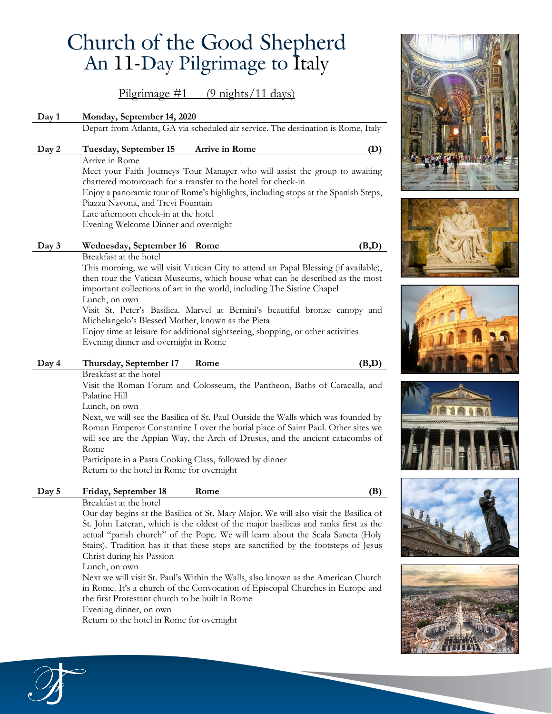# Church of the Good Shepherd An 11-Day Pilgrimage to Italy

Pilgrimage  $\#1$  (9 nights/11 days)

## **Day 1 Monday, September 14, 2020**

Depart from Atlanta, GA via scheduled air service. The destination is Rome, Italy

#### **Day 2 Tuesday, September 15 Arrive in Rome (D)**

Arrive in Rome Meet your Faith Journeys Tour Manager who will assist the group to awaiting chartered motorcoach for a transfer to the hotel for check-in Enjoy a panoramic tour of Rome's highlights, including stops at the Spanish Steps, Piazza Navona, and Trevi Fountain Late afternoon check-in at the hotel Evening Welcome Dinner and overnight

## **Day 3 Wednesday, September 16 Rome (B,D)**

Breakfast at the hotel

This morning, we will visit Vatican City to attend an Papal Blessing (if available), then tour the Vatican Museums, which house what can be described as the most important collections of art in the world, including The Sistine Chapel Lunch, on own

Visit St. Peter's Basilica. Marvel at Bernini's beautiful bronze canopy and Michelangelo's Blessed Mother, known as the Pieta

Enjoy time at leisure for additional sightseeing, shopping, or other activities Evening dinner and overnight in Rome

#### **Day 4 Thursday, September 17 Rome (B,D)**

Breakfast at the hotel

Visit the Roman Forum and Colosseum, the Pantheon, Baths of Caracalla, and Palatine Hill

Lunch, on own

Next, we will see the Basilica of St. Paul Outside the Walls which was founded by Roman Emperor Constantine I over the burial place of Saint Paul. Other sites we will see are the Appian Way, the Arch of Drusus, and the ancient catacombs of Rome

Participate in a Pasta Cooking Class, followed by dinner Return to the hotel in Rome for overnight

## **Day 5 Friday, September 18 Rome (B)**

#### Breakfast at the hotel

Our day begins at the Basilica of St. Mary Major. We will also visit the Basilica of St. John Lateran, which is the oldest of the major basilicas and ranks first as the actual "parish church" of the Pope. We will learn about the Scala Sancta (Holy Stairs). Tradition has it that these steps are sanctified by the footsteps of Jesus Christ during his Passion

Lunch, on own

Next we will visit St. Paul's Within the Walls, also known as the American Church in Rome. It's a church of the Convocation of Episcopal Churches in Europe and the first Protestant church to be built in Rome

Evening dinner, on own

Return to the hotel in Rome for overnight